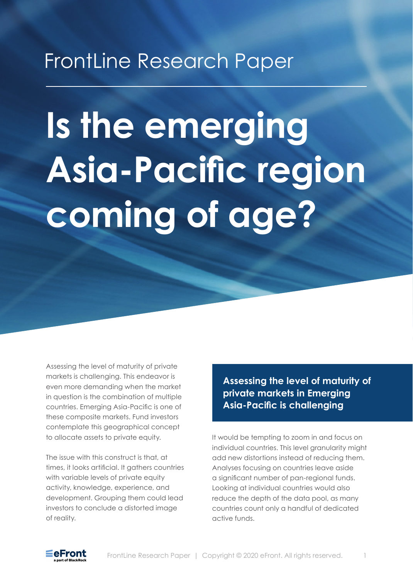# FrontLine Research Paper

to the preservation of wealth during a stock of wealth during a stock of wealth during a stock of wealth during a stock of wealth during a stock of wealth during a stock of wealth during a stock of wealth during a stock of

#### Private equity offers interesting strategies for such a purpose, helping investors capitalize on opportunities while other assets suffer from the Distressed debt investing is arguably the strategy that capitalizes the most only in downturns. The purpose of this type of by accuracy acquiring some of its debt at a significant some of its debt at a significant some of its debt at a discount during a bankruptcy procedure. The distressed debt fund manager and the management of the company engineer a restructuring plan, which is submitted to the usually have significant assets and an otherwise sound business model. **Is the emerging** Proceedings have to be predictable and decisions entourneed and the contract of the contract of the contract of the contract of the contract of the c assumes that creditors are willing and able to Asia-Pacific region ranking is only determined by the seniority of their credits. Many jurisdictions do not provide such a context. Some coming of age? "super-privileged" and non-negotiable). The

footing. Companies acquired are therefore

Assessing the level of maturity of private markets is challenging. This endeavor is even more demanding when the market in question is the combination of multiple countries. Emerging Asia-Pacific is one of these composite markets. Fund investors contemplate this geographical concept to allocate assets to private equity.

The issue with this construct is that, at times, it looks artificial. It gathers countries with variable levels of private equity activity, knowledge, experience, and development. Grouping them could lead investors to conclude a distorted image of reality.

**Assessing the level of maturity of private markets in Emerging Asia-Pacific is challenging**

It would be tempting to zoom in and focus on individual countries. This level granularity might add new distortions instead of reducing them. Analyses focusing on countries leave aside a significant number of pan-regional funds. Looking at individual countries would also reduce the depth of the data pool, as many countries count only a handful of dedicated active funds.

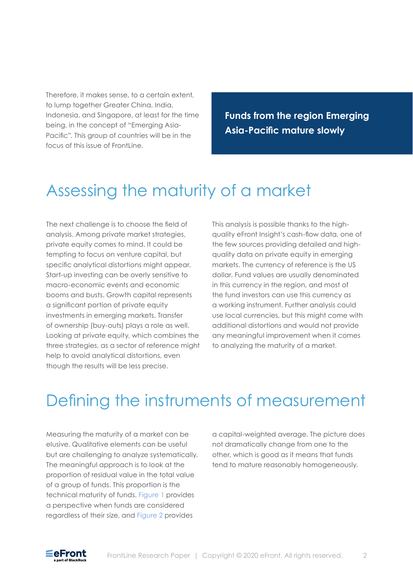Therefore, it makes sense, to a certain extent, to lump together Greater China, India, Indonesia, and Singapore, at least for the time being, in the concept of "Emerging Asia-Pacific". This group of countries will be in the focus of this issue of FrontLine.

**Funds from the region Emerging Asia-Pacific mature slowly**

## Assessing the maturity of a market

The next challenge is to choose the field of analysis. Among private market strategies, private equity comes to mind. It could be tempting to focus on venture capital, but specific analytical distortions might appear. Start-up investing can be overly sensitive to macro-economic events and economic booms and busts. Growth capital represents a significant portion of private equity investments in emerging markets. Transfer of ownership (buy-outs) plays a role as well. Looking at private equity, which combines the three strategies, as a sector of reference might help to avoid analytical distortions, even though the results will be less precise.

This analysis is possible thanks to the highquality eFront Insight's cash-flow data, one of the few sources providing detailed and highquality data on private equity in emerging markets. The currency of reference is the US dollar. Fund values are usually denominated in this currency in the region, and most of the fund investors can use this currency as a working instrument. Further analysis could use local currencies, but this might come with additional distortions and would not provide any meaningful improvement when it comes to analyzing the maturity of a market.

## Defining the instruments of measurement

Measuring the maturity of a market can be elusive. Qualitative elements can be useful but are challenging to analyze systematically. The meaningful approach is to look at the proportion of residual value in the total value of a group of funds. This proportion is the technical maturity of funds. Figure 1 provides a perspective when funds are considered regardless of their size, and Figure 2 provides

a capital-weighted average. The picture does not dramatically change from one to the other, which is good as it means that funds tend to mature reasonably homogeneously.

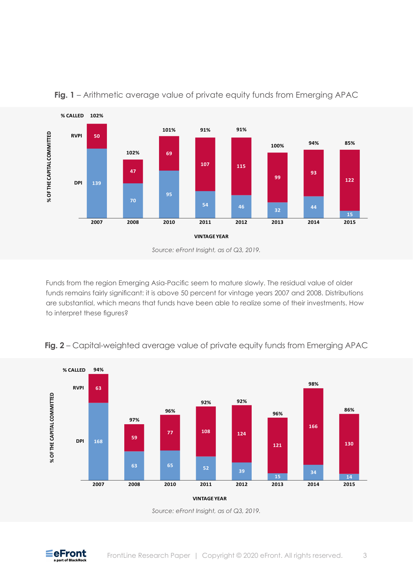

**Fig. 1** – Arithmetic average value of private equity funds from Emerging APAC

Funds from the region Emerging Asia-Pacific seem to mature slowly. The residual value of older funds remains fairly significant: it is above 50 percent for vintage years 2007 and 2008. Distributions are substantial, which means that funds have been able to realize some of their investments. How to interpret these figures?





*Source: eFront Insight, as of Q3, 2019.* 



*Source: eFront Insight, as of Q3, 2019.*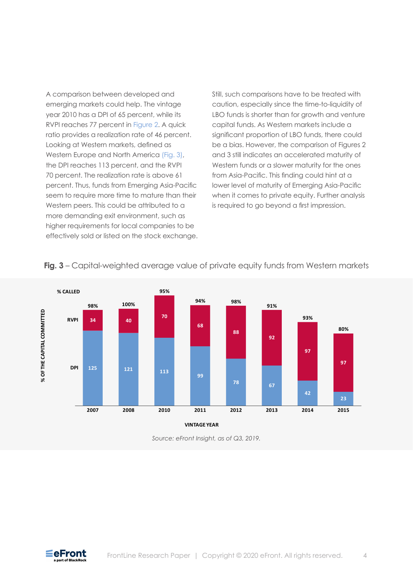A comparison between developed and emerging markets could help. The vintage year 2010 has a DPI of 65 percent, while its RVPI reaches 77 percent in Figure 2. A quick ratio provides a realization rate of 46 percent. Looking at Western markets, defined as Western Europe and North America (Fig. 3), the DPI reaches 113 percent, and the RVPI 70 percent. The realization rate is above 61 percent. Thus, funds from Emerging Asia-Pacific seem to require more time to mature than their Western peers. This could be attributed to a more demanding exit environment, such as higher requirements for local companies to be effectively sold or listed on the stock exchange. Still, such comparisons have to be treated with caution, especially since the time-to-liquidity of LBO funds is shorter than for growth and venture capital funds. As Western markets include a significant proportion of LBO funds, there could be a bias. However, the comparison of Figures 2 and 3 still indicates an accelerated maturity of Western funds or a slower maturity for the ones from Asia-Pacific. This finding could hint at a lower level of maturity of Emerging Asia-Pacific when it comes to private equity. Further analysis is required to go beyond a first impression.



#### **Fig. 3** – Capital-weighted average value of private equity funds from Western markets

*Source: eFront Insight, as of Q3, 2019.* 

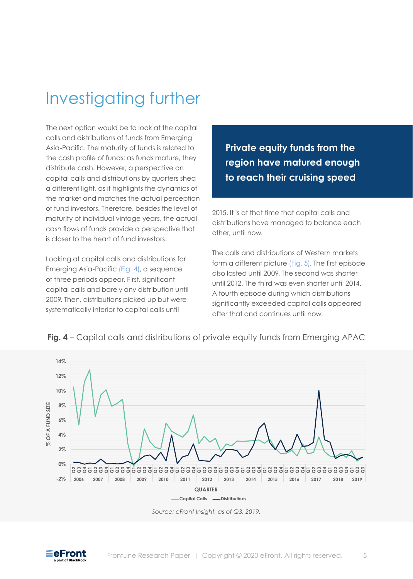## Investigating further

The next option would be to look at the capital calls and distributions of funds from Emerging Asia-Pacific. The maturity of funds is related to the cash profile of funds: as funds mature, they distribute cash. However, a perspective on capital calls and distributions by quarters shed a different light, as it highlights the dynamics of the market and matches the actual perception of fund investors. Therefore, besides the level of maturity of individual vintage years, the actual cash flows of funds provide a perspective that is closer to the heart of fund investors.

Looking at capital calls and distributions for Emerging Asia-Pacific (Fig. 4), a sequence of three periods appear. First, significant capital calls and barely any distribution until 2009. Then, distributions picked up but were systematically inferior to capital calls until

**Private equity funds from the region have matured enough to reach their cruising speed**

2015. It is at that time that capital calls and distributions have managed to balance each other, until now.

The calls and distributions of Western markets form a different picture (Fig. 5). The first episode also lasted until 2009. The second was shorter, until 2012. The third was even shorter until 2014. A fourth episode during which distributions significantly exceeded capital calls appeared after that and continues until now.



**Fig. 4** – Capital calls and distributions of private equity funds from Emerging APAC



*Source: eFront Insight, as of Q3, 2019.*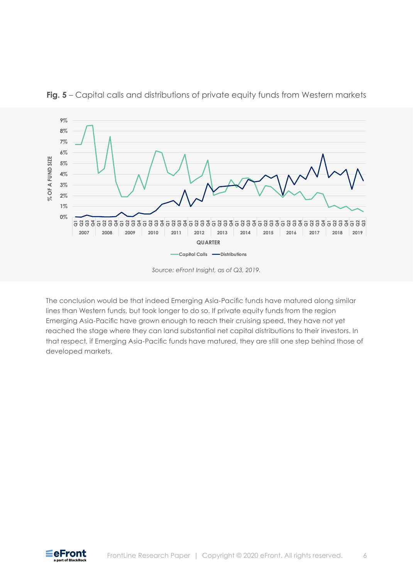

Fig. 5 - Capital calls and distributions of private equity funds from Western markets

*Source: eFront Insight, as of Q3, 2019.* 

The conclusion would be that indeed Emerging Asia-Pacific funds have matured along similar lines than Western funds, but took longer to do so. If private equity funds from the region Emerging Asia-Pacific have grown enough to reach their cruising speed, they have not yet reached the stage where they can land substantial net capital distributions to their investors. In that respect, if Emerging Asia-Pacific funds have matured, they are still one step behind those of developed markets.

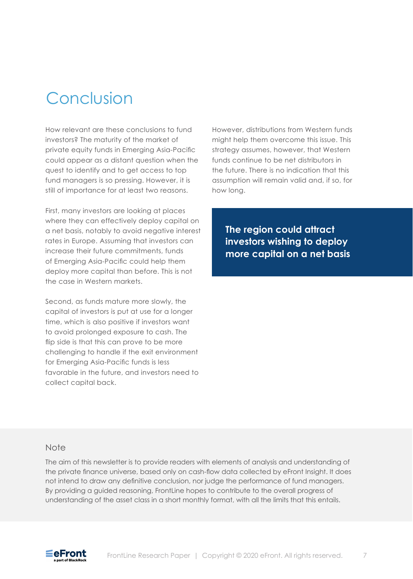## Conclusion

How relevant are these conclusions to fund investors? The maturity of the market of private equity funds in Emerging Asia-Pacific could appear as a distant question when the quest to identify and to get access to top fund managers is so pressing. However, it is still of importance for at least two reasons.

First, many investors are looking at places where they can effectively deploy capital on a net basis, notably to avoid negative interest rates in Europe. Assuming that investors can increase their future commitments, funds of Emerging Asia-Pacific could help them deploy more capital than before. This is not the case in Western markets.

Second, as funds mature more slowly, the capital of investors is put at use for a longer time, which is also positive if investors want to avoid prolonged exposure to cash. The flip side is that this can prove to be more challenging to handle if the exit environment for Emerging Asia-Pacific funds is less favorable in the future, and investors need to collect capital back.

However, distributions from Western funds might help them overcome this issue. This strategy assumes, however, that Western funds continue to be net distributors in the future. There is no indication that this assumption will remain valid and, if so, for how long.

**The region could attract investors wishing to deploy more capital on a net basis**

#### **Note**

The aim of this newsletter is to provide readers with elements of analysis and understanding of the private finance universe, based only on cash-flow data collected by eFront Insight. It does not intend to draw any definitive conclusion, nor judge the performance of fund managers. By providing a guided reasoning, FrontLine hopes to contribute to the overall progress of understanding of the asset class in a short monthly format, with all the limits that this entails.